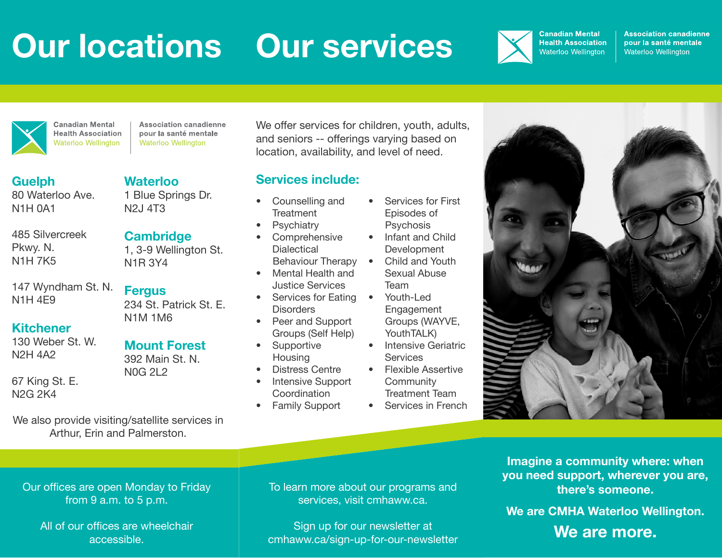## **Our locations Our services**



**Association canadienne** pour la santé mentale Waterloo Wellington



**Health Association Waterloo Wellington** 

**Waterloo**

N2J 4T3

N1R 3Y4

**Fergus**

1 Blue Springs Dr.

1, 3-9 Wellington St.

**Cambridge**

**Association canadienne** pour la santé mentale Waterloo Wellington

**Guelph** 80 Waterloo Ave. N1H 0A1

485 Silvercreek Pkwy. N. N1H 7K5

147 Wyndham St. N. N1H 4E9

## **Kitchener**

130 Weber St. W. N2H 4A2

67 King St. E. N2G 2K4

N1M 1M6

234 St. Patrick St. E.

**Mount Forest** 392 Main St. N. N0G 2L2

We also provide visiting/satellite services in Arthur, Erin and Palmerston.

We offer services for children, youth, adults, and seniors -- offerings varying based on location, availability, and level of need.

## **Services include:**

- Counselling and **Treatment**
- **Psychiatry**
- **Comprehensive Dialectical** Behaviour Therapy
- Mental Health and Justice Services
- Services for Eating Youth-Led **Disorders**
- Peer and Support Groups (Self Help)
- Supportive **Housing**
- Distress Centre
- Intensive Support Coordination
- Family Support
- Services for First Episodes of **Psychosis**
- Infant and Child **Development**
- Child and Youth Sexual Abuse Team
- Engagement Groups (WAYVE, YouthTALK)
- Intensive Geriatric **Services**
- Flexible Assertive **Community** Treatment Team
- Services in French



Our offices are open Monday to Friday from 9 a.m. to 5 p.m.

All of our offices are wheelchair accessible.

To learn more about our programs and services, visit cmhaww.ca.

Sign up for our newsletter at cmhaww.ca/sign-up-for-our-newsletter

**Imagine a community where: when you need support, wherever you are, there's someone.**

**We are CMHA Waterloo Wellington. We are more.**